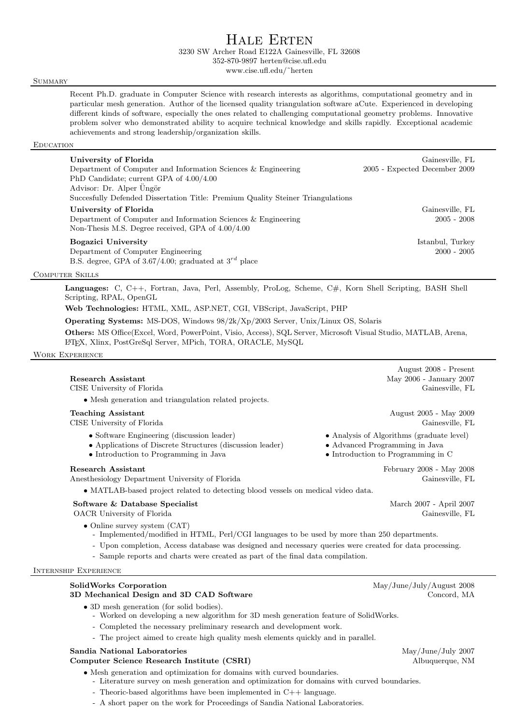# Hale Erten

3230 SW Archer Road E122A Gainesville, FL 32608

352-870-9897 herten@cise.ufl.edu

www.cise.ufl.edu/˜herten

# **SUMMARY**

Recent Ph.D. graduate in Computer Science with research interests as algorithms, computational geometry and in particular mesh generation. Author of the licensed quality triangulation software aCute. Experienced in developing different kinds of software, especially the ones related to challenging computational geometry problems. Innovative problem solver who demonstrated ability to acquire technical knowledge and skills rapidly. Exceptional academic achievements and strong leadership/organization skills.

# **EDUCATION**

| University of Florida<br>Department of Computer and Information Sciences & Engineering<br>PhD Candidate; current GPA of $4.00/4.00$<br>Advisor: Dr. Alper Üngör | Gainesville, FL<br>2005 - Expected December 2009 |
|-----------------------------------------------------------------------------------------------------------------------------------------------------------------|--------------------------------------------------|
| Succesfully Defended Dissertation Title: Premium Quality Steiner Triangulations                                                                                 |                                                  |
| University of Florida<br>Department of Computer and Information Sciences & Engineering<br>Non-Thesis M.S. Degree received, GPA of $4.00/4.00$                   | Gainesville, FL<br>$2005 - 2008$                 |
| <b>Bogazici University</b><br>Department of Computer Engineering<br>B.S. degree, GPA of 3.67/4.00; graduated at $3^{rd}$ place                                  | Istanbul, Turkey<br>$2000 - 2005$                |

# Computer Skills

Languages: C, C++, Fortran, Java, Perl, Assembly, ProLog, Scheme, C#, Korn Shell Scripting, BASH Shell Scripting, RPAL, OpenGL

Web Technologies: HTML, XML, ASP.NET, CGI, VBScript, JavaScript, PHP

Operating Systems: MS-DOS, Windows 98/2k/Xp/2003 Server, Unix/Linux OS, Solaris

Others: MS Office(Excel, Word, PowerPoint, Visio, Access), SQL Server, Microsoft Visual Studio, MATLAB, Arena, L<sup>A</sup>TEX, Xlinx, PostGreSql Server, MPich, TORA, ORACLE, MySQL

Work Experience

|                                                                                                                                                  | August 2008 - Present                                                                                                     |
|--------------------------------------------------------------------------------------------------------------------------------------------------|---------------------------------------------------------------------------------------------------------------------------|
| Research Assistant                                                                                                                               | May 2006 - January 2007                                                                                                   |
| CISE University of Florida                                                                                                                       | Gainesville, FL                                                                                                           |
| • Mesh generation and triangulation related projects.                                                                                            |                                                                                                                           |
| <b>Teaching Assistant</b><br>CISE University of Florida                                                                                          | August 2005 - May 2009<br>Gainesville, FL                                                                                 |
| • Software Engineering (discussion leader)<br>• Applications of Discrete Structures (discussion leader)<br>• Introduction to Programming in Java | • Analysis of Algorithms (graduate level)<br>• Advanced Programming in Java<br>$\bullet$ Introduction to Programming in C |
| <b>Research Assistant</b><br>Anesthesiology Department University of Florida                                                                     | February 2008 - May 2008<br>Gainesville, FL                                                                               |
| • MATLAB-based project related to detecting blood vessels on medical video data.                                                                 |                                                                                                                           |
| Software & Database Specialist<br>OACR University of Florida                                                                                     | March 2007 - April 2007<br>Gainesville, FL                                                                                |
| • Online survey system $(CAT)$                                                                                                                   |                                                                                                                           |

- Implemented/modified in HTML, Perl/CGI languages to be used by more than 250 departments.
- Upon completion, Access database was designed and necessary queries were created for data processing.
- Sample reports and charts were created as part of the final data compilation.

#### Internship Experience

# SolidWorks Corporation May/June/July/August 2008

#### 3D Mechanical Design and 3D CAD Software Concord, MA

• 3D mesh generation (for solid bodies).

- Worked on developing a new algorithm for 3D mesh generation feature of SolidWorks.
- Completed the necessary preliminary research and development work.
- The project aimed to create high quality mesh elements quickly and in parallel.

#### Sandia National Laboratories and the state of the May/June/July 2007

# Computer Science Research Institute (CSRI) Albuquerque, NM

- Mesh generation and optimization for domains with curved boundaries.
	- Literature survey on mesh generation and optimization for domains with curved boundaries.
	- Theoric-based algorithms have been implemented in C++ language.
	- A short paper on the work for Proceedings of Sandia National Laboratories.